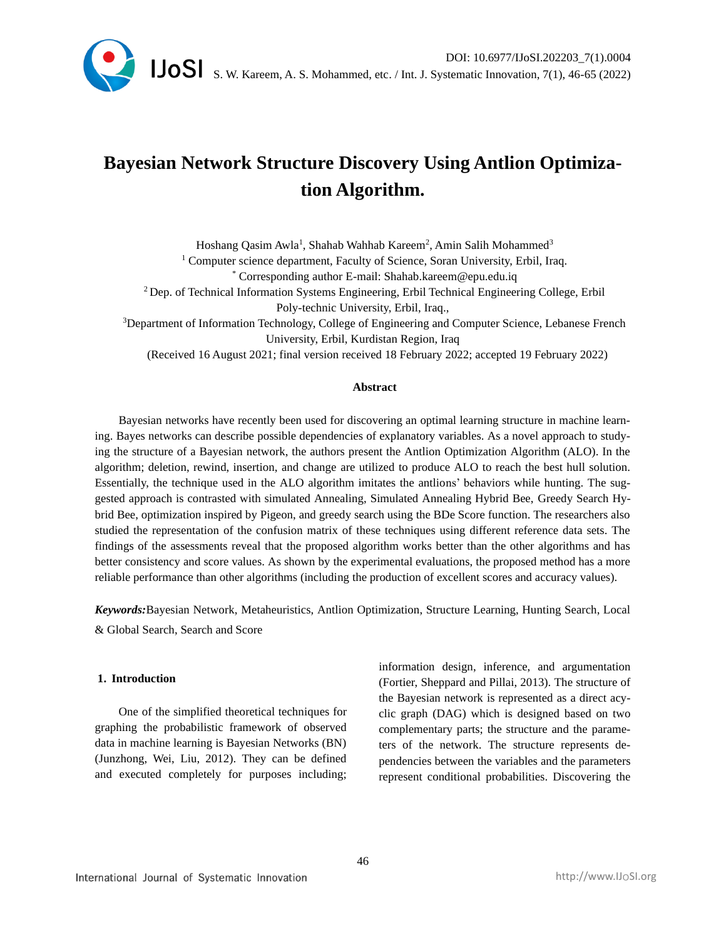

# **Bayesian Network Structure Discovery Using Antlion Optimization Algorithm.**

Hoshang Qasim Awla<sup>1</sup>, Shahab Wahhab Kareem<sup>2</sup>, Amin Salih Mohammed<sup>3</sup> <sup>1</sup> Computer science department, Faculty of Science, Soran University, Erbil, Iraq. \* Corresponding author E-mail: Shahab.kareem@epu.edu.iq <sup>2</sup>Dep. of Technical Information Systems Engineering, Erbil Technical Engineering College, Erbil Poly-technic University, Erbil, Iraq., <sup>3</sup>Department of Information Technology, College of Engineering and Computer Science, Lebanese French University, Erbil, Kurdistan Region, Iraq

(Received 16 August 2021; final version received 18 February 2022; accepted 19 February 2022)

### **Abstract**

Bayesian networks have recently been used for discovering an optimal learning structure in machine learning. Bayes networks can describe possible dependencies of explanatory variables. As a novel approach to studying the structure of a Bayesian network, the authors present the Antlion Optimization Algorithm (ALO). In the algorithm; deletion, rewind, insertion, and change are utilized to produce ALO to reach the best hull solution. Essentially, the technique used in the ALO algorithm imitates the antlions' behaviors while hunting. The suggested approach is contrasted with simulated Annealing, Simulated Annealing Hybrid Bee, Greedy Search Hybrid Bee, optimization inspired by Pigeon, and greedy search using the BDe Score function. The researchers also studied the representation of the confusion matrix of these techniques using different reference data sets. The findings of the assessments reveal that the proposed algorithm works better than the other algorithms and has better consistency and score values. As shown by the experimental evaluations, the proposed method has a more reliable performance than other algorithms (including the production of excellent scores and accuracy values).

*Keywords:*Bayesian Network, Metaheuristics, Antlion Optimization, Structure Learning, Hunting Search, Local & Global Search, Search and Score

### **1. Introduction**

One of the simplified theoretical techniques for graphing the probabilistic framework of observed data in machine learning is Bayesian Networks (BN) (Junzhong, Wei, Liu, 2012). They can be defined and executed completely for purposes including; information design, inference, and argumentation (Fortier, Sheppard and Pillai, 2013). The structure of the Bayesian network is represented as a direct acyclic graph (DAG) which is designed based on two complementary parts; the structure and the parameters of the network. The structure represents dependencies between the variables and the parameters represent conditional probabilities. Discovering the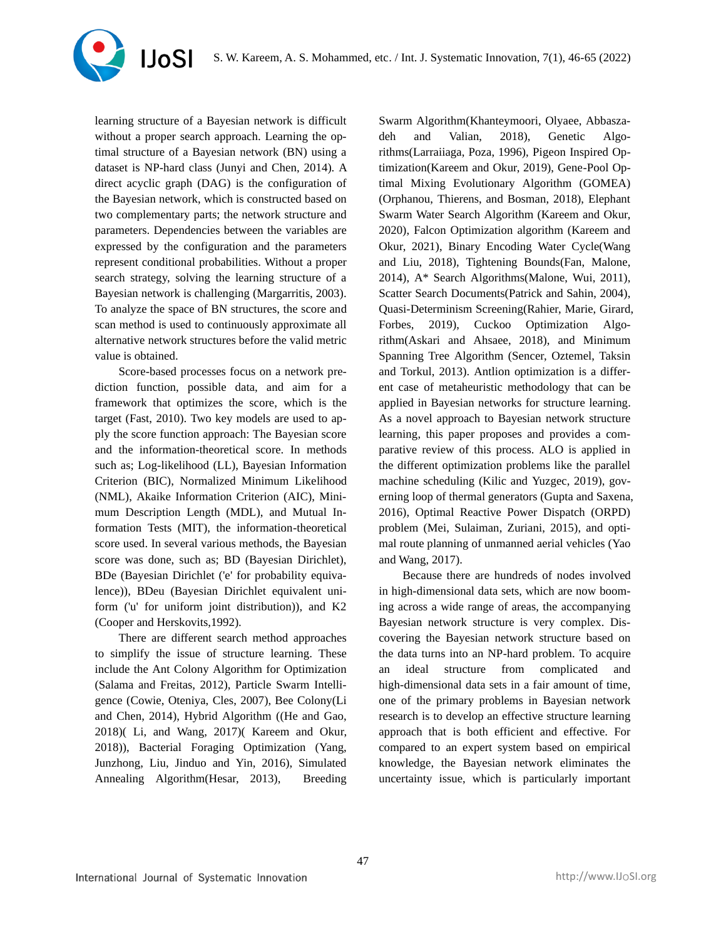learning structure of a Bayesian network is difficult without a proper search approach. Learning the optimal structure of a Bayesian network (BN) using a dataset is NP-hard class (Junyi and Chen, 2014). A direct acyclic graph (DAG) is the configuration of the Bayesian network, which is constructed based on two complementary parts; the network structure and parameters. Dependencies between the variables are expressed by the configuration and the parameters represent conditional probabilities. Without a proper search strategy, solving the learning structure of a Bayesian network is challenging (Margarritis, 2003). To analyze the space of BN structures, the score and scan method is used to continuously approximate all alternative network structures before the valid metric value is obtained.

**IJoSI** 

Score-based processes focus on a network prediction function, possible data, and aim for a framework that optimizes the score, which is the target (Fast, 2010). Two key models are used to apply the score function approach: The Bayesian score and the information-theoretical score. In methods such as; Log-likelihood (LL), Bayesian Information Criterion (BIC), Normalized Minimum Likelihood (NML), Akaike Information Criterion (AIC), Minimum Description Length (MDL), and Mutual Information Tests (MIT), the information-theoretical score used. In several various methods, the Bayesian score was done, such as; BD (Bayesian Dirichlet), BDe (Bayesian Dirichlet ('e' for probability equivalence)), BDeu (Bayesian Dirichlet equivalent uniform ('u' for uniform joint distribution)), and K2 (Cooper and Herskovits,1992).

There are different search method approaches to simplify the issue of structure learning. These include the Ant Colony Algorithm for Optimization (Salama and Freitas, 2012), Particle Swarm Intelligence (Cowie, Oteniya, Cles, 2007), Bee Colony(Li and Chen, 2014), Hybrid Algorithm ((He and Gao, 2018)( Li, and Wang, 2017)( Kareem and Okur, 2018)), Bacterial Foraging Optimization (Yang, Junzhong, Liu, Jinduo and Yin, 2016), Simulated Annealing Algorithm(Hesar, 2013), Breeding

Swarm Algorithm(Khanteymoori, Olyaee, Abbaszadeh and Valian, 2018), Genetic Algorithms(Larraiiaga, Poza, 1996), Pigeon Inspired Optimization(Kareem and Okur, 2019), Gene-Pool Optimal Mixing Evolutionary Algorithm (GOMEA) (Orphanou, Thierens, and Bosman, 2018), Elephant Swarm Water Search Algorithm (Kareem and Okur, 2020), Falcon Optimization algorithm (Kareem and Okur, 2021), Binary Encoding Water Cycle(Wang and Liu, 2018), Tightening Bounds(Fan, Malone, 2014), A\* Search Algorithms(Malone, Wui, 2011), Scatter Search Documents(Patrick and Sahin, 2004), Quasi-Determinism Screening(Rahier, Marie, Girard, Forbes, 2019), Cuckoo Optimization Algorithm(Askari and Ahsaee, 2018), and Minimum Spanning Tree Algorithm (Sencer, Oztemel, Taksin and Torkul, 2013). Antlion optimization is a different case of metaheuristic methodology that can be applied in Bayesian networks for structure learning. As a novel approach to Bayesian network structure learning, this paper proposes and provides a comparative review of this process. ALO is applied in the different optimization problems like the parallel machine scheduling (Kilic and Yuzgec, 2019), governing loop of thermal generators (Gupta and Saxena, 2016), Optimal Reactive Power Dispatch (ORPD) problem (Mei, Sulaiman, Zuriani, 2015), and optimal route planning of unmanned aerial vehicles (Yao and Wang, 2017).

Because there are hundreds of nodes involved in high-dimensional data sets, which are now booming across a wide range of areas, the accompanying Bayesian network structure is very complex. Discovering the Bayesian network structure based on the data turns into an NP-hard problem. To acquire an ideal structure from complicated and high-dimensional data sets in a fair amount of time, one of the primary problems in Bayesian network research is to develop an effective structure learning approach that is both efficient and effective. For compared to an expert system based on empirical knowledge, the Bayesian network eliminates the uncertainty issue, which is particularly important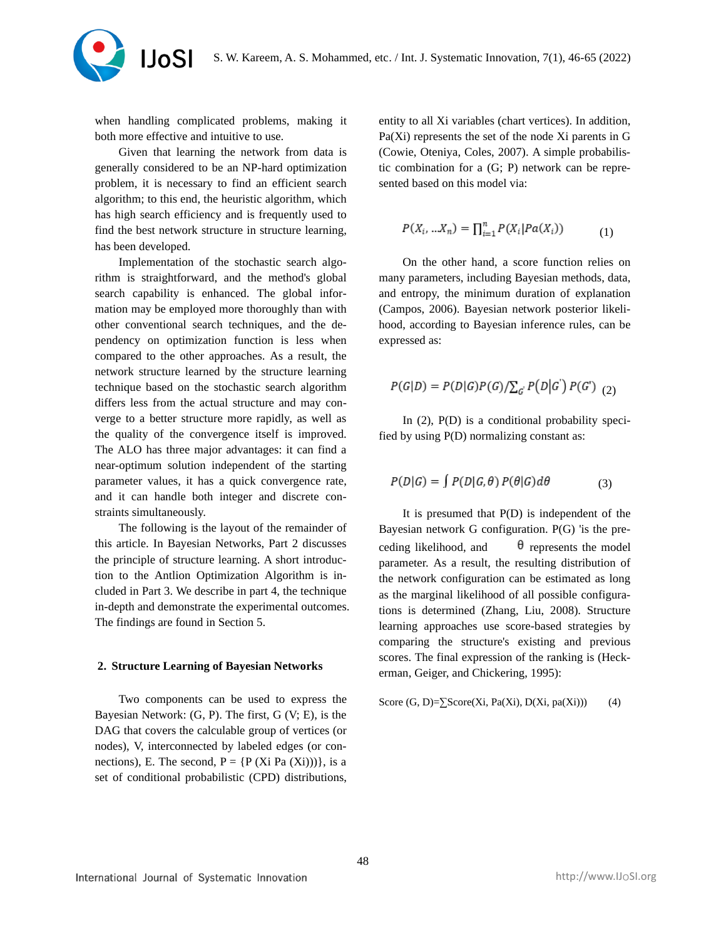

when handling complicated problems, making it both more effective and intuitive to use.

Given that learning the network from data is generally considered to be an NP-hard optimization problem, it is necessary to find an efficient search algorithm; to this end, the heuristic algorithm, which has high search efficiency and is frequently used to find the best network structure in structure learning, has been developed.

Implementation of the stochastic search algorithm is straightforward, and the method's global search capability is enhanced. The global information may be employed more thoroughly than with other conventional search techniques, and the dependency on optimization function is less when compared to the other approaches. As a result, the network structure learned by the structure learning technique based on the stochastic search algorithm differs less from the actual structure and may converge to a better structure more rapidly, as well as the quality of the convergence itself is improved. The ALO has three major advantages: it can find a near-optimum solution independent of the starting parameter values, it has a quick convergence rate, and it can handle both integer and discrete constraints simultaneously.

The following is the layout of the remainder of this article. In Bayesian Networks, Part 2 discusses the principle of structure learning. A short introduction to the Antlion Optimization Algorithm is included in Part 3. We describe in part 4, the technique in-depth and demonstrate the experimental outcomes. The findings are found in Section 5.

#### **2. Structure Learning of Bayesian Networks**

Two components can be used to express the Bayesian Network: (G, P). The first, G (V; E), is the DAG that covers the calculable group of vertices (or nodes), V, interconnected by labeled edges (or connections), E. The second,  $P = {P (Xi Pa (Xi)))},$  is a set of conditional probabilistic (CPD) distributions,

entity to all Xi variables (chart vertices). In addition, Pa(Xi) represents the set of the node Xi parents in G (Cowie, Oteniya, Coles, 2007). A simple probabilistic combination for a (G; P) network can be represented based on this model via:

$$
P(X_i, ... X_n) = \prod_{i=1}^n P(X_i | Pa(X_i))
$$
 (1)

On the other hand, a score function relies on many parameters, including Bayesian methods, data, and entropy, the minimum duration of explanation (Campos, 2006). Bayesian network posterior likelihood, according to Bayesian inference rules, can be expressed as:

$$
P(G|D) = P(D|G)P(G)/\sum_{G'} P(D|G') P(G')_{(2)}
$$

In (2), P(D) is a conditional probability specified by using P(D) normalizing constant as:

$$
P(D|G) = \int P(D|G,\theta) P(\theta|G)d\theta \tag{3}
$$

It is presumed that P(D) is independent of the Bayesian network G configuration. P(G) 'is the preceding likelihood, and  $\theta$  represents the model parameter. As a result, the resulting distribution of the network configuration can be estimated as long as the marginal likelihood of all possible configurations is determined (Zhang, Liu, 2008). Structure learning approaches use score-based strategies by comparing the structure's existing and previous scores. The final expression of the ranking is (Heckerman, Geiger, and Chickering, 1995):

$$
Score(G, D)=\sum Score(Xi, Pa(Xi), D(Xi, pa(Xi)))
$$
 (4)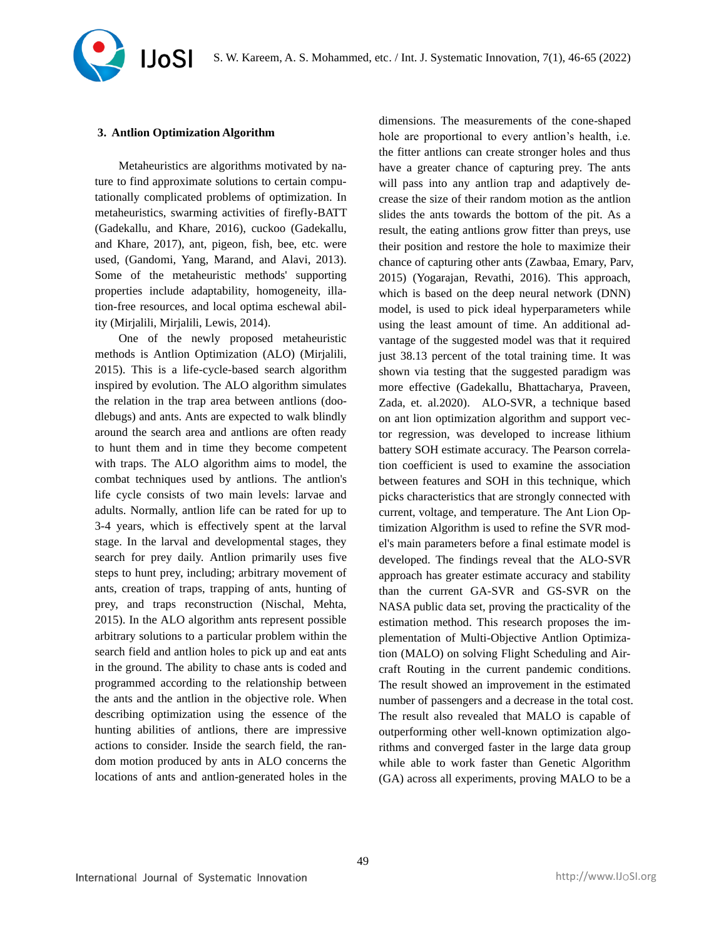#### **3. Antlion Optimization Algorithm**

Metaheuristics are algorithms motivated by nature to find approximate solutions to certain computationally complicated problems of optimization. In metaheuristics, swarming activities of firefly-BATT (Gadekallu, and Khare, 2016), cuckoo (Gadekallu, and Khare, 2017), ant, pigeon, fish, bee, etc. were used, (Gandomi, Yang, Marand, and Alavi, 2013). Some of the metaheuristic methods' supporting properties include adaptability, homogeneity, illation-free resources, and local optima eschewal ability (Mirjalili, Mirjalili, Lewis, 2014).

One of the newly proposed metaheuristic methods is Antlion Optimization (ALO) (Mirjalili, 2015). This is a life-cycle-based search algorithm inspired by evolution. The ALO algorithm simulates the relation in the trap area between antlions (doodlebugs) and ants. Ants are expected to walk blindly around the search area and antlions are often ready to hunt them and in time they become competent with traps. The ALO algorithm aims to model, the combat techniques used by antlions. The antlion's life cycle consists of two main levels: larvae and adults. Normally, antlion life can be rated for up to 3-4 years, which is effectively spent at the larval stage. In the larval and developmental stages, they search for prey daily. Antlion primarily uses five steps to hunt prey, including; arbitrary movement of ants, creation of traps, trapping of ants, hunting of prey, and traps reconstruction (Nischal, Mehta, 2015). In the ALO algorithm ants represent possible arbitrary solutions to a particular problem within the search field and antlion holes to pick up and eat ants in the ground. The ability to chase ants is coded and programmed according to the relationship between the ants and the antlion in the objective role. When describing optimization using the essence of the hunting abilities of antlions, there are impressive actions to consider. Inside the search field, the random motion produced by ants in ALO concerns the locations of ants and antlion-generated holes in the

dimensions. The measurements of the cone-shaped hole are proportional to every antlion's health, i.e. the fitter antlions can create stronger holes and thus have a greater chance of capturing prey. The ants will pass into any antlion trap and adaptively decrease the size of their random motion as the antlion slides the ants towards the bottom of the pit. As a result, the eating antlions grow fitter than preys, use their position and restore the hole to maximize their chance of capturing other ants (Zawbaa, Emary, Parv, 2015) (Yogarajan, Revathi, 2016). This approach, which is based on the deep neural network (DNN) model, is used to pick ideal hyperparameters while using the least amount of time. An additional advantage of the suggested model was that it required just 38.13 percent of the total training time. It was shown via testing that the suggested paradigm was more effective (Gadekallu, Bhattacharya, Praveen, Zada, et. al.2020). ALO-SVR, a technique based on ant lion optimization algorithm and support vector regression, was developed to increase lithium battery SOH estimate accuracy. The Pearson correlation coefficient is used to examine the association between features and SOH in this technique, which picks characteristics that are strongly connected with current, voltage, and temperature. The Ant Lion Optimization Algorithm is used to refine the SVR model's main parameters before a final estimate model is developed. The findings reveal that the ALO-SVR approach has greater estimate accuracy and stability than the current GA-SVR and GS-SVR on the NASA public data set, proving the practicality of the estimation method. This research proposes the implementation of Multi-Objective Antlion Optimization (MALO) on solving Flight Scheduling and Aircraft Routing in the current pandemic conditions. The result showed an improvement in the estimated number of passengers and a decrease in the total cost. The result also revealed that MALO is capable of outperforming other well-known optimization algorithms and converged faster in the large data group while able to work faster than Genetic Algorithm (GA) across all experiments, proving MALO to be a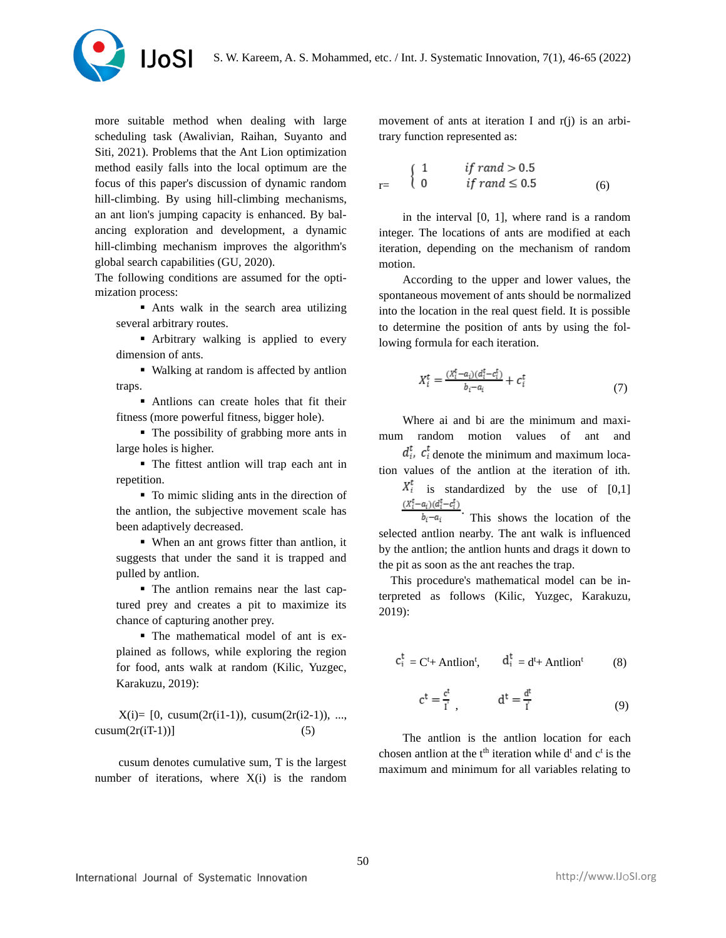

more suitable method when dealing with large scheduling task (Awalivian, Raihan, Suyanto and Siti, 2021). Problems that the Ant Lion optimization method easily falls into the local optimum are the focus of this paper's discussion of dynamic random hill-climbing. By using hill-climbing mechanisms, an ant lion's jumping capacity is enhanced. By balancing exploration and development, a dynamic hill-climbing mechanism improves the algorithm's global search capabilities (GU, 2020).

The following conditions are assumed for the optimization process:

■ Ants walk in the search area utilizing several arbitrary routes.

**•** Arbitrary walking is applied to every dimension of ants.

▪ Walking at random is affected by antlion traps.

**In Antlions can create holes that fit their** fitness (more powerful fitness, bigger hole).

▪ The possibility of grabbing more ants in large holes is higher.

▪ The fittest antlion will trap each ant in repetition.

▪ To mimic sliding ants in the direction of the antlion, the subjective movement scale has been adaptively decreased.

▪ When an ant grows fitter than antlion, it suggests that under the sand it is trapped and pulled by antlion.

▪ The antlion remains near the last captured prey and creates a pit to maximize its chance of capturing another prey.

▪ The mathematical model of ant is explained as follows, while exploring the region for food, ants walk at random (Kilic, Yuzgec, Karakuzu, 2019):

 $X(i) = [0, \text{cusum}(2r(i1-1)), \text{cusum}(2r(i2-1)), ...,$  $cusum(2r(iT-1))]$  (5)

cusum denotes cumulative sum, T is the largest number of iterations, where  $X(i)$  is the random

movement of ants at iteration I and r(j) is an arbitrary function represented as:

$$
r = \begin{cases} 1 & if \, rand > 0.5 \\ 0 & if \, rand \leq 0.5 \end{cases} \tag{6}
$$

in the interval [0, 1], where rand is a random integer. The locations of ants are modified at each iteration, depending on the mechanism of random motion.

According to the upper and lower values, the spontaneous movement of ants should be normalized into the location in the real quest field. It is possible to determine the position of ants by using the following formula for each iteration.

$$
X_i^t = \frac{(X_i^t - a_i)(d_i^t - c_i^t)}{b_i - a_i} + c_i^t \tag{7}
$$

Where ai and bi are the minimum and maximum random motion values of ant and

 $d_i^t$ ,  $c_i^t$  denote the minimum and maximum loca-

tion values of the antlion at the iteration of ith.  $X_i^t$  is standardized by the use of [0,1]

 $\frac{(X_i^{\mathsf{f}} - a_i)(d_i^{\mathsf{f}} - c_i^{\mathsf{f}})}{b_i - a_i}$ . This shows the location of the selected antlion nearby. The ant walk is influenced by the antlion; the antlion hunts and drags it down to the pit as soon as the ant reaches the trap.

This procedure's mathematical model can be interpreted as follows (Kilic, Yuzgec, Karakuzu, 2019):

$$
c_i^t = C^t + \text{Antlion}^t, \qquad d_i^t = d^t + \text{Antlion}^t \tag{8}
$$

$$
c^t = \frac{c^t}{i^t}, \qquad d^t = \frac{d^t}{i}
$$
 (9)

The antlion is the antlion location for each chosen antlion at the  $t<sup>th</sup>$  iteration while  $d<sup>t</sup>$  and  $c<sup>t</sup>$  is the maximum and minimum for all variables relating to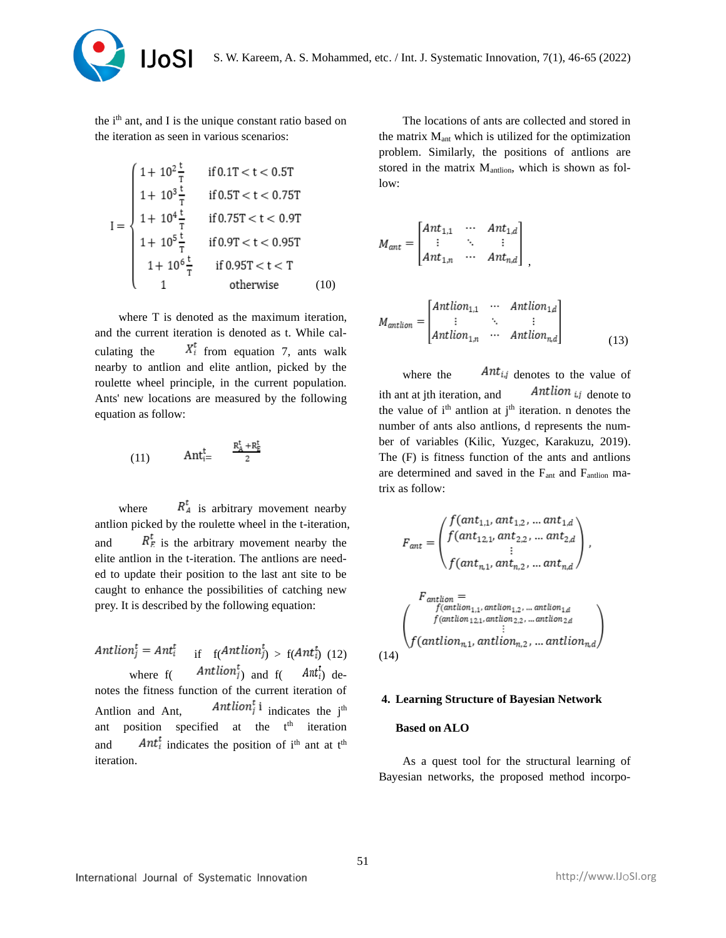

the ith ant, and I is the unique constant ratio based on the iteration as seen in various scenarios:

$$
I = \begin{cases} 1 + 10^{2} \frac{t}{T} & \text{if } 0.1T < t < 0.5T \\ 1 + 10^{3} \frac{t}{T} & \text{if } 0.5T < t < 0.75T \\ 1 + 10^{4} \frac{t}{T} & \text{if } 0.75T < t < 0.9T \\ 1 + 10^{5} \frac{t}{T} & \text{if } 0.9T < t < 0.95T \\ 1 + 10^{6} \frac{t}{T} & \text{if } 0.95T < t < T \\ 1 & \text{otherwise} \end{cases} \tag{10}
$$

where T is denoted as the maximum iteration, and the current iteration is denoted as t. While calculating the  $X_i^t$  from equation 7, ants walk nearby to antlion and elite antlion, picked by the roulette wheel principle, in the current population. Ants' new locations are measured by the following equation as follow:

$$
(11) \qquad \text{Ant}_{i=}^t \qquad \frac{R_A^t + R_F^t}{2}
$$

where  $R_A^t$  is arbitrary movement nearby antlion picked by the roulette wheel in the t-iteration, and  $R_E^t$  is the arbitrary movement nearby the elite antlion in the t-iteration. The antlions are needed to update their position to the last ant site to be caught to enhance the possibilities of catching new prey. It is described by the following equation:

Antlion<sup>t</sup><sub>i</sub> = Ant<sup>t</sup><sub>i</sub> if  $f(Antlion_j^t) > f(Ant_i^t)$  (12) where  $f$ (  $Antlion_i^t$ ) and  $f$ (  $Ant_i^t$ ) denotes the fitness function of the current iteration of Antlion and Ant,  $Antlion_j^t$  i indicates the j<sup>th</sup> ant position specified at the  $t<sup>th</sup>$  iteration and  $Ant_i^t$  indicates the position of i<sup>th</sup> ant at t<sup>th</sup> iteration.

The locations of ants are collected and stored in the matrix  $M<sub>ant</sub>$  which is utilized for the optimization problem. Similarly, the positions of antlions are stored in the matrix M<sub>antlion</sub>, which is shown as follow:

$$
M_{ant} = \begin{bmatrix} Ant_{1,1} & \cdots & Ant_{1,d} \\ \vdots & \ddots & \vdots \\ Ant_{1,n} & \cdots & Ant_{n,d} \end{bmatrix},
$$

$$
M_{antlion} = \begin{bmatrix} Antlion_{1,1} & \cdots & Antlion_{1,d} \\ \vdots & \ddots & \vdots \\ Antlion_{1,n} & \cdots & Antlion_{n,d} \end{bmatrix}
$$
 (13)

where the  $\qquad$  Ant<sub>ij</sub> denotes to the value of ith ant at jth iteration, and  $\qquad$  Antlian  $\mu_{i,j}$  denote to the value of  $i<sup>th</sup>$  antlion at  $i<sup>th</sup>$  iteration. n denotes the number of ants also antlions, d represents the number of variables (Kilic, Yuzgec, Karakuzu, 2019). The (F) is fitness function of the ants and antlions are determined and saved in the Fant and Fantlion matrix as follow:

$$
F_{ant} = \begin{pmatrix} f(ant_{1,1}, ant_{1,2}, ... ant_{1,d} ) & \\ f(ant_{1,2,1}, ant_{2,2}, ... ant_{2,d} ) & \\ \vdots & \\ f(ant_{n,1}, ant_{n,2}, ... ant_{n,d} ) & \end{pmatrix},
$$
\n
$$
F_{antlion} = \begin{pmatrix} F_{antlion} \\ f(antion_{1,1}, antion_{1,2}, ... antion_{1,d} ) & \\ f(antlion_{1,2,1}, antion_{2,2}, ... antion_{2,d} ) & \\ \vdots & \\ f(antlion_{n,1}, antlion_{n,2}, ... antlion_{n,d} ) & \end{pmatrix},
$$
\n
$$
(14)
$$

## **4. Learning Structure of Bayesian Network**

#### **Based on ALO**

As a quest tool for the structural learning of Bayesian networks, the proposed method incorpo-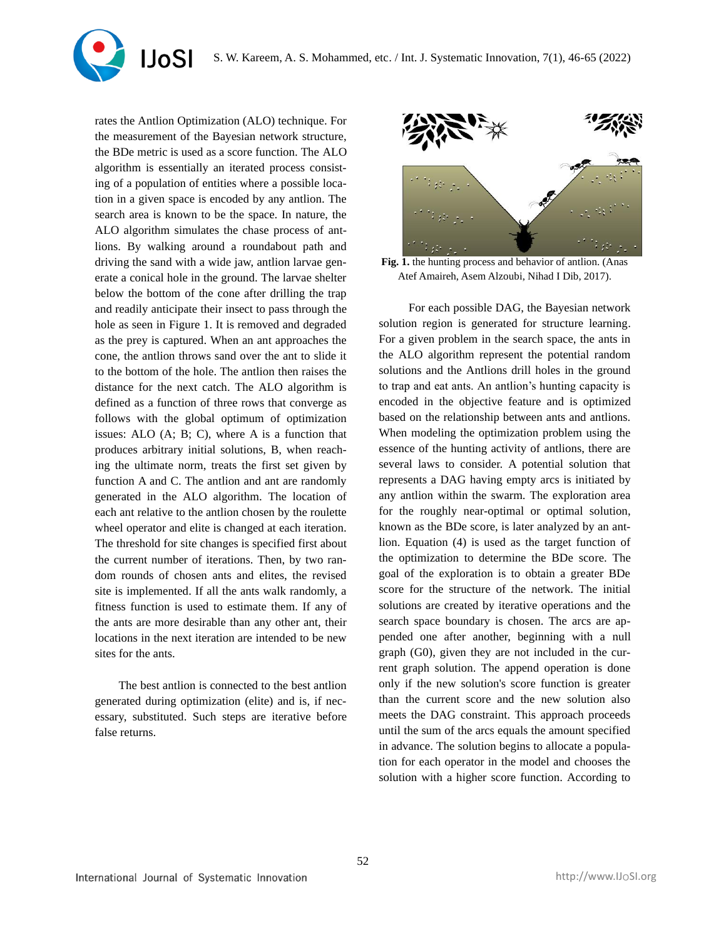

rates the Antlion Optimization (ALO) technique. For the measurement of the Bayesian network structure, the BDe metric is used as a score function. The ALO algorithm is essentially an iterated process consisting of a population of entities where a possible location in a given space is encoded by any antlion. The search area is known to be the space. In nature, the ALO algorithm simulates the chase process of antlions. By walking around a roundabout path and driving the sand with a wide jaw, antlion larvae generate a conical hole in the ground. The larvae shelter below the bottom of the cone after drilling the trap and readily anticipate their insect to pass through the hole as seen in Figure 1. It is removed and degraded as the prey is captured. When an ant approaches the cone, the antlion throws sand over the ant to slide it to the bottom of the hole. The antlion then raises the distance for the next catch. The ALO algorithm is defined as a function of three rows that converge as follows with the global optimum of optimization issues: ALO (A; B; C), where A is a function that produces arbitrary initial solutions, B, when reaching the ultimate norm, treats the first set given by function A and C. The antlion and ant are randomly generated in the ALO algorithm. The location of each ant relative to the antlion chosen by the roulette wheel operator and elite is changed at each iteration. The threshold for site changes is specified first about the current number of iterations. Then, by two random rounds of chosen ants and elites, the revised site is implemented. If all the ants walk randomly, a fitness function is used to estimate them. If any of the ants are more desirable than any other ant, their locations in the next iteration are intended to be new sites for the ants.

The best antlion is connected to the best antlion generated during optimization (elite) and is, if necessary, substituted. Such steps are iterative before false returns.



**Fig. 1.** the hunting process and behavior of antlion. (Anas Atef Amaireh, Asem Alzoubi, Nihad I Dib, 2017).

For each possible DAG, the Bayesian network solution region is generated for structure learning. For a given problem in the search space, the ants in the ALO algorithm represent the potential random solutions and the Antlions drill holes in the ground to trap and eat ants. An antlion's hunting capacity is encoded in the objective feature and is optimized based on the relationship between ants and antlions. When modeling the optimization problem using the essence of the hunting activity of antlions, there are several laws to consider. A potential solution that represents a DAG having empty arcs is initiated by any antlion within the swarm. The exploration area for the roughly near-optimal or optimal solution, known as the BDe score, is later analyzed by an antlion. Equation (4) is used as the target function of the optimization to determine the BDe score. The goal of the exploration is to obtain a greater BDe score for the structure of the network. The initial solutions are created by iterative operations and the search space boundary is chosen. The arcs are appended one after another, beginning with a null graph (G0), given they are not included in the current graph solution. The append operation is done only if the new solution's score function is greater than the current score and the new solution also meets the DAG constraint. This approach proceeds until the sum of the arcs equals the amount specified in advance. The solution begins to allocate a population for each operator in the model and chooses the solution with a higher score function. According to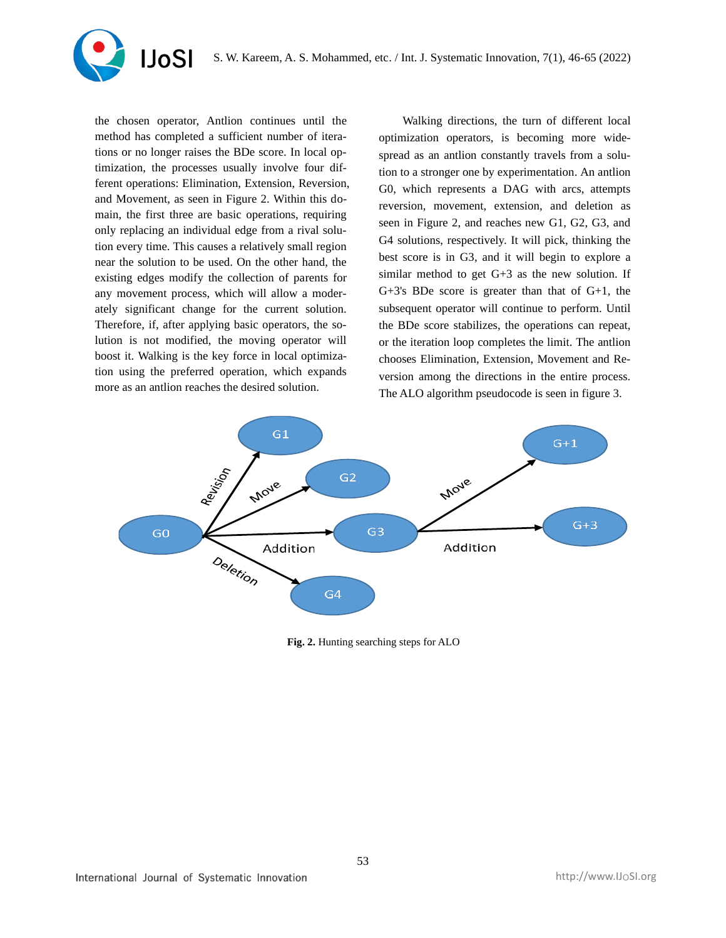

the chosen operator, Antlion continues until the method has completed a sufficient number of iterations or no longer raises the BDe score. In local optimization, the processes usually involve four different operations: Elimination, Extension, Reversion, and Movement, as seen in Figure 2. Within this domain, the first three are basic operations, requiring only replacing an individual edge from a rival solution every time. This causes a relatively small region near the solution to be used. On the other hand, the existing edges modify the collection of parents for any movement process, which will allow a moderately significant change for the current solution. Therefore, if, after applying basic operators, the solution is not modified, the moving operator will boost it. Walking is the key force in local optimization using the preferred operation, which expands more as an antlion reaches the desired solution.

Walking directions, the turn of different local optimization operators, is becoming more widespread as an antlion constantly travels from a solution to a stronger one by experimentation. An antlion G0, which represents a DAG with arcs, attempts reversion, movement, extension, and deletion as seen in Figure 2, and reaches new G1, G2, G3, and G4 solutions, respectively. It will pick, thinking the best score is in G3, and it will begin to explore a similar method to get  $G+3$  as the new solution. If G+3's BDe score is greater than that of G+1, the subsequent operator will continue to perform. Until the BDe score stabilizes, the operations can repeat, or the iteration loop completes the limit. The antlion chooses Elimination, Extension, Movement and Reversion among the directions in the entire process. The ALO algorithm pseudocode is seen in figure 3.



**Fig. 2.** Hunting searching steps for ALO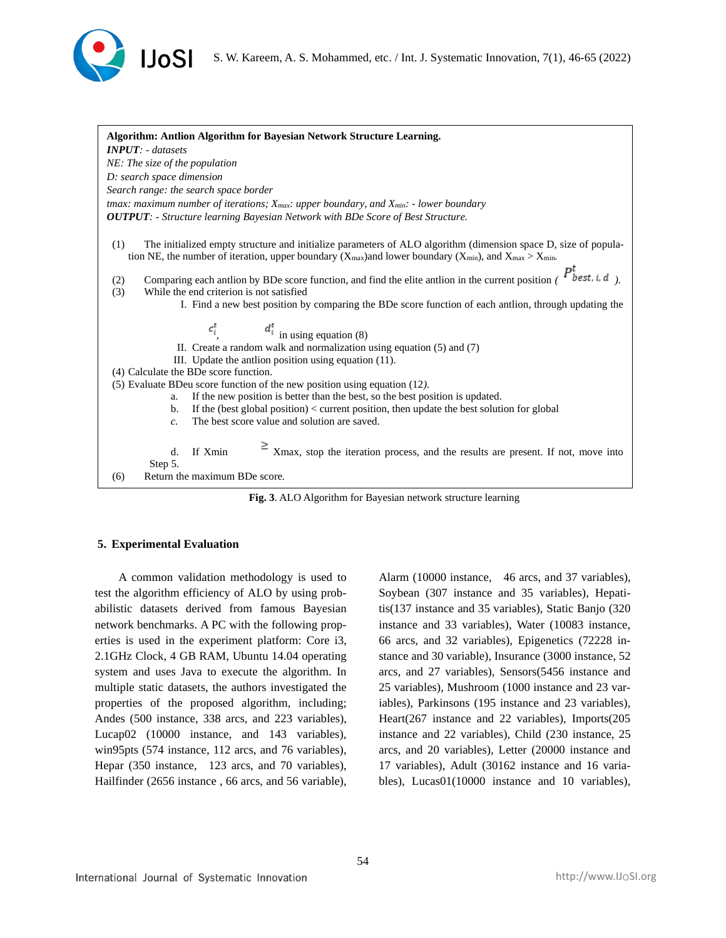



**Fig. 3**. ALO Algorithm for Bayesian network structure learning

### **5. Experimental Evaluation**

A common validation methodology is used to test the algorithm efficiency of ALO by using probabilistic datasets derived from famous Bayesian network benchmarks. A PC with the following properties is used in the experiment platform: Core i3, 2.1GHz Clock, 4 GB RAM, Ubuntu 14.04 operating system and uses Java to execute the algorithm. In multiple static datasets, the authors investigated the properties of the proposed algorithm, including; Andes (500 instance, 338 arcs, and 223 variables), Lucap02 (10000 instance, and 143 variables), win95pts (574 instance, 112 arcs, and 76 variables), Hepar (350 instance, 123 arcs, and 70 variables), Hailfinder (2656 instance , 66 arcs, and 56 variable),

Alarm (10000 instance, 46 arcs, and 37 variables), Soybean (307 instance and 35 variables), Hepatitis(137 instance and 35 variables), Static Banjo (320 instance and 33 variables), Water (10083 instance, 66 arcs, and 32 variables), Epigenetics (72228 instance and 30 variable), Insurance (3000 instance, 52 arcs, and 27 variables), Sensors(5456 instance and 25 variables), Mushroom (1000 instance and 23 variables), Parkinsons (195 instance and 23 variables), Heart(267 instance and 22 variables), Imports(205 instance and 22 variables), Child (230 instance, 25 arcs, and 20 variables), Letter (20000 instance and 17 variables), Adult (30162 instance and 16 variables), Lucas01(10000 instance and 10 variables),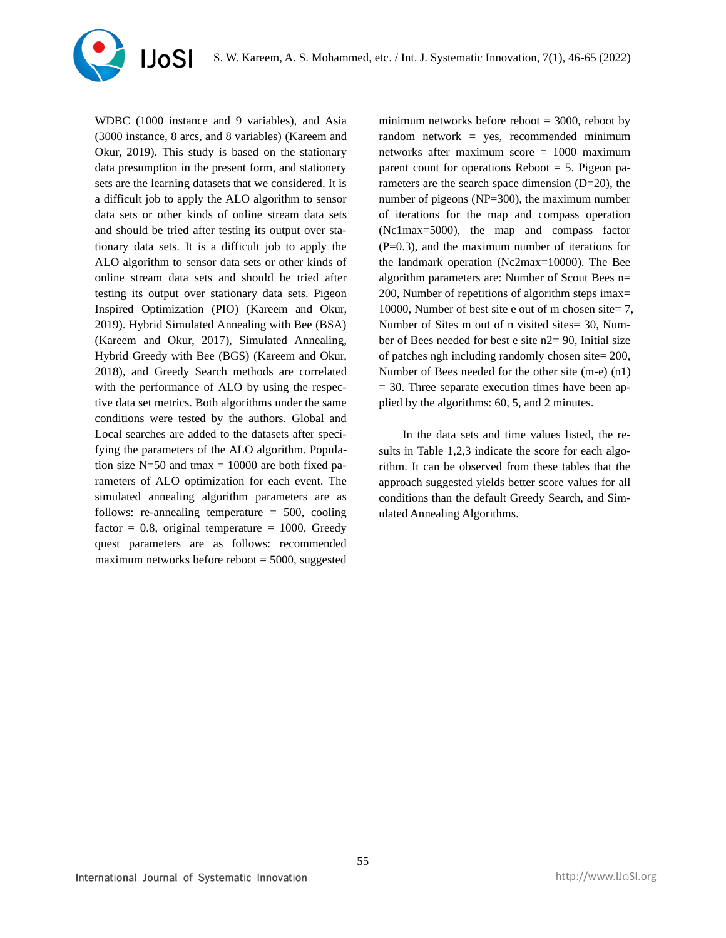

WDBC (1000 instance and 9 variables), and Asia (3000 instance, 8 arcs, and 8 variables) (Kareem and Okur, 2019). This study is based on the stationary data presumption in the present form, and stationery sets are the learning datasets that we considered. It is a difficult job to apply the ALO algorithm to sensor data sets or other kinds of online stream data sets and should be tried after testing its output over stationary data sets. It is a difficult job to apply the ALO algorithm to sensor data sets or other kinds of online stream data sets and should be tried after testing its output over stationary data sets. Pigeon Inspired Optimization (PIO) (Kareem and Okur, 2019). Hybrid Simulated Annealing with Bee (BSA) (Kareem and Okur, 2017), Simulated Annealing, Hybrid Greedy with Bee (BGS) (Kareem and Okur, 2018), and Greedy Search methods are correlated with the performance of ALO by using the respective data set metrics. Both algorithms under the same conditions were tested by the authors. Global and Local searches are added to the datasets after specifying the parameters of the ALO algorithm. Population size  $N=50$  and tmax = 10000 are both fixed parameters of ALO optimization for each event. The simulated annealing algorithm parameters are as follows: re-annealing temperature  $= 500$ , cooling factor =  $0.8$ , original temperature = 1000. Greedy quest parameters are as follows: recommended maximum networks before reboot  $= 5000$ , suggested

minimum networks before reboot  $=$  3000, reboot by random network = yes, recommended minimum networks after maximum score = 1000 maximum parent count for operations Reboot  $= 5$ . Pigeon parameters are the search space dimension  $(D=20)$ , the number of pigeons (NP=300), the maximum number of iterations for the map and compass operation (Nc1max=5000), the map and compass factor (P=0.3), and the maximum number of iterations for the landmark operation (Nc2max=10000). The Bee algorithm parameters are: Number of Scout Bees n= 200, Number of repetitions of algorithm steps imax= 10000, Number of best site e out of m chosen site= 7, Number of Sites m out of n visited sites= 30, Number of Bees needed for best e site n2= 90, Initial size of patches ngh including randomly chosen site= 200, Number of Bees needed for the other site (m-e) (n1)  $= 30$ . Three separate execution times have been applied by the algorithms: 60, 5, and 2 minutes.

In the data sets and time values listed, the results in Table 1,2,3 indicate the score for each algorithm. It can be observed from these tables that the approach suggested yields better score values for all conditions than the default Greedy Search, and Simulated Annealing Algorithms.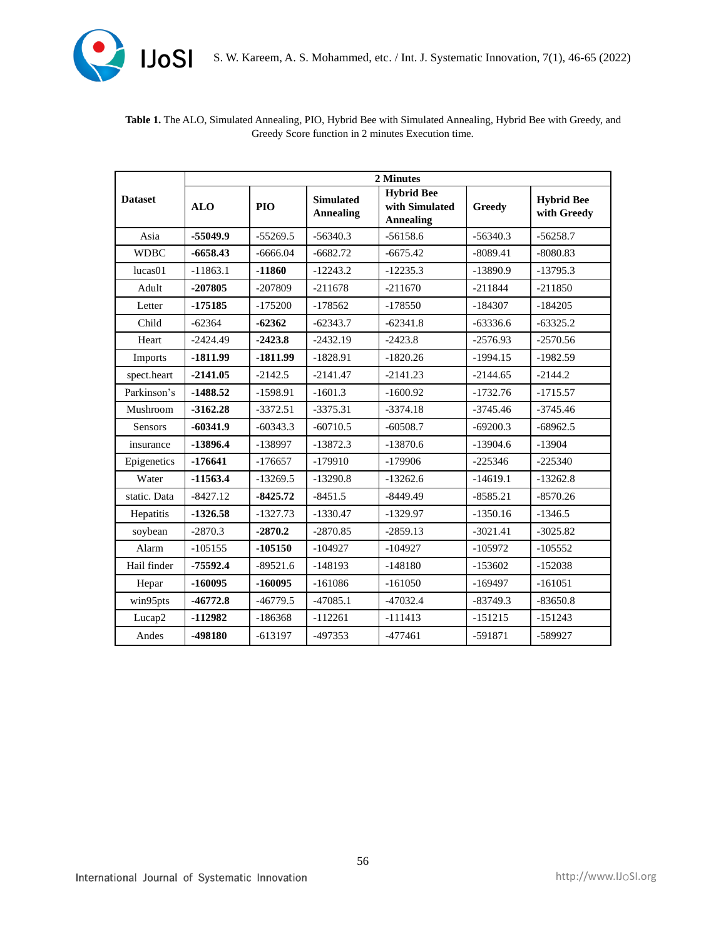

|                | 2 Minutes  |            |                                      |                                                         |               |                                  |  |  |
|----------------|------------|------------|--------------------------------------|---------------------------------------------------------|---------------|----------------------------------|--|--|
| <b>Dataset</b> | <b>ALO</b> | <b>PIO</b> | <b>Simulated</b><br><b>Annealing</b> | <b>Hybrid Bee</b><br>with Simulated<br><b>Annealing</b> | <b>Greedy</b> | <b>Hybrid Bee</b><br>with Greedy |  |  |
| Asia           | $-55049.9$ | $-55269.5$ | $-56340.3$                           | $-56158.6$                                              | $-56340.3$    | $-56258.7$                       |  |  |
| <b>WDBC</b>    | $-6658.43$ | $-6666.04$ | $-6682.72$                           | $-6675.42$                                              | $-8089.41$    | $-8080.83$                       |  |  |
| lucas01        | $-11863.1$ | $-11860$   | $-12243.2$                           | $-12235.3$                                              | $-13890.9$    | $-13795.3$                       |  |  |
| Adult          | $-207805$  | $-207809$  | $-211678$                            | $-211670$                                               | $-211844$     | $-211850$                        |  |  |
| Letter         | $-175185$  | $-175200$  | $-178562$                            | $-178550$                                               | $-184307$     | $-184205$                        |  |  |
| Child          | $-62364$   | $-62362$   | $-62343.7$                           | $-62341.8$                                              | $-63336.6$    | $-63325.2$                       |  |  |
| Heart          | $-2424.49$ | $-2423.8$  | $-2432.19$                           | $-2423.8$                                               | $-2576.93$    | $-2570.56$                       |  |  |
| Imports        | $-1811.99$ | $-1811.99$ | $-1828.91$                           | $-1820.26$                                              | $-1994.15$    | $-1982.59$                       |  |  |
| spect.heart    | $-2141.05$ | $-2142.5$  | $-2141.47$                           | $-2141.23$                                              | $-2144.65$    | $-2144.2$                        |  |  |
| Parkinson's    | $-1488.52$ | $-1598.91$ | $-1601.3$                            | $-1600.92$                                              | $-1732.76$    | $-1715.57$                       |  |  |
| Mushroom       | $-3162.28$ | $-3372.51$ | $-3375.31$                           | $-3374.18$                                              | $-3745.46$    | $-3745.46$                       |  |  |
| Sensors        | $-60341.9$ | $-60343.3$ | $-60710.5$                           | $-60508.7$                                              | $-69200.3$    | $-68962.5$                       |  |  |
| insurance      | $-13896.4$ | -138997    | $-13872.3$                           | $-13870.6$                                              | $-13904.6$    | $-13904$                         |  |  |
| Epigenetics    | $-176641$  | $-176657$  | $-179910$                            | $-179906$                                               | $-225346$     | $-225340$                        |  |  |
| Water          | $-11563.4$ | $-13269.5$ | $-13290.8$                           | $-13262.6$                                              | $-14619.1$    | $-13262.8$                       |  |  |
| static. Data   | $-8427.12$ | $-8425.72$ | $-8451.5$                            | $-8449.49$                                              | $-8585.21$    | $-8570.26$                       |  |  |
| Hepatitis      | $-1326.58$ | $-1327.73$ | $-1330.47$                           | $-1329.97$                                              | $-1350.16$    | $-1346.5$                        |  |  |
| soybean        | $-2870.3$  | $-2870.2$  | $-2870.85$                           | $-2859.13$                                              | $-3021.41$    | $-3025.82$                       |  |  |
| Alarm          | $-105155$  | $-105150$  | $-104927$                            | $-104927$                                               | $-105972$     | $-105552$                        |  |  |
| Hail finder    | $-75592.4$ | $-89521.6$ | $-148193$                            | $-148180$                                               | $-153602$     | $-152038$                        |  |  |
| Hepar          | $-160095$  | $-160095$  | $-161086$                            | $-161050$                                               | $-169497$     | $-161051$                        |  |  |
| win95pts       | $-46772.8$ | $-46779.5$ | $-47085.1$                           | $-47032.4$                                              | $-83749.3$    | $-83650.8$                       |  |  |
| Lucap2         | -112982    | $-186368$  | $-112261$                            | $-111413$                                               | $-151215$     | $-151243$                        |  |  |
| Andes          | -498180    | $-613197$  | $-497353$                            | $-477461$                                               | $-591871$     | -589927                          |  |  |

# **Table 1.** The ALO, Simulated Annealing, PIO, Hybrid Bee with Simulated Annealing, Hybrid Bee with Greedy, and Greedy Score function in 2 minutes Execution time.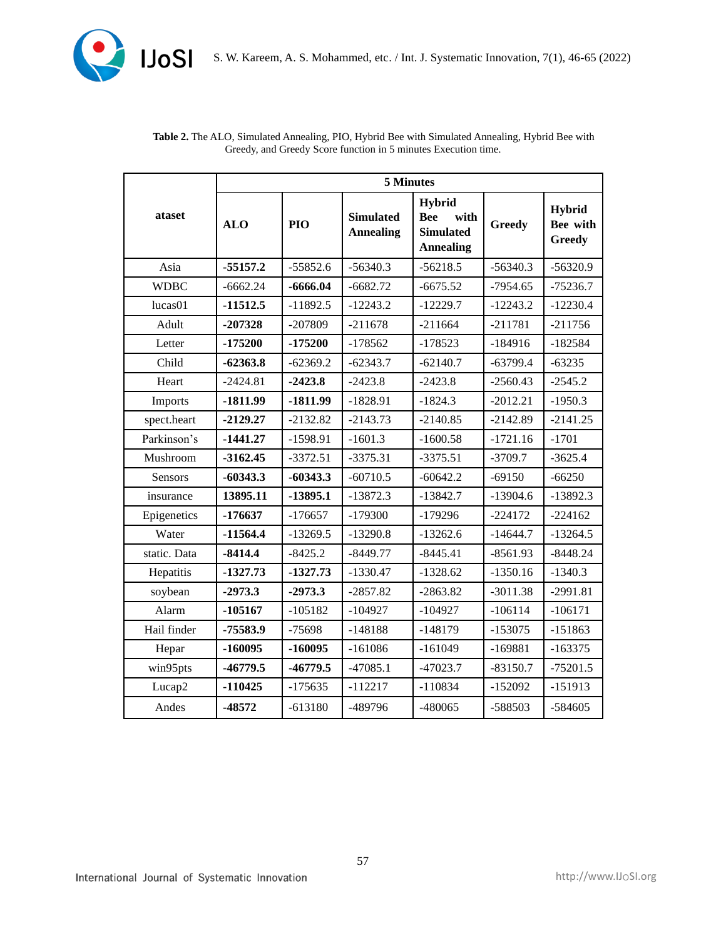

|              | 5 Minutes  |            |                                      |                                                                             |               |                                     |  |  |
|--------------|------------|------------|--------------------------------------|-----------------------------------------------------------------------------|---------------|-------------------------------------|--|--|
| ataset       | <b>ALO</b> | PIO        | <b>Simulated</b><br><b>Annealing</b> | <b>Hybrid</b><br><b>Bee</b><br>with<br><b>Simulated</b><br><b>Annealing</b> | <b>Greedy</b> | Hybrid<br>Bee with<br><b>Greedy</b> |  |  |
| Asia         | $-55157.2$ | $-55852.6$ | $-56340.3$                           | $-56218.5$                                                                  | $-56340.3$    | $-56320.9$                          |  |  |
| <b>WDBC</b>  | $-6662.24$ | $-6666.04$ | $-6682.72$                           | $-6675.52$                                                                  | $-7954.65$    | $-75236.7$                          |  |  |
| lucas01      | $-11512.5$ | $-11892.5$ | $-12243.2$                           | $-12229.7$                                                                  | $-12243.2$    | $-12230.4$                          |  |  |
| Adult        | $-207328$  | $-207809$  | $-211678$                            | $-211664$                                                                   | $-211781$     | $-211756$                           |  |  |
| Letter       | $-175200$  | $-175200$  | $-178562$                            | $-178523$                                                                   | $-184916$     | $-182584$                           |  |  |
| Child        | $-62363.8$ | $-62369.2$ | $-62343.7$                           | $-62140.7$                                                                  | $-63799.4$    | $-63235$                            |  |  |
| Heart        | $-2424.81$ | $-2423.8$  | $-2423.8$                            | $-2423.8$                                                                   | $-2560.43$    | $-2545.2$                           |  |  |
| Imports      | $-1811.99$ | $-1811.99$ | $-1828.91$                           | $-1824.3$                                                                   | $-2012.21$    | $-1950.3$                           |  |  |
| spect.heart  | $-2129.27$ | $-2132.82$ | $-2143.73$                           | $-2140.85$                                                                  | $-2142.89$    | $-2141.25$                          |  |  |
| Parkinson's  | $-1441.27$ | $-1598.91$ | $-1601.3$                            | $-1600.58$                                                                  | $-1721.16$    | $-1701$                             |  |  |
| Mushroom     | $-3162.45$ | $-3372.51$ | $-3375.31$                           | $-3375.51$                                                                  | $-3709.7$     | $-3625.4$                           |  |  |
| Sensors      | $-60343.3$ | $-60343.3$ | $-60710.5$                           | $-60642.2$                                                                  | $-69150$      | $-66250$                            |  |  |
| insurance    | 13895.11   | $-13895.1$ | $-13872.3$                           | $-13842.7$                                                                  | $-13904.6$    | $-13892.3$                          |  |  |
| Epigenetics  | $-176637$  | $-176657$  | $-179300$                            | $-179296$                                                                   | $-224172$     | $-224162$                           |  |  |
| Water        | $-11564.4$ | $-13269.5$ | $-13290.8$                           | $-13262.6$                                                                  | $-14644.7$    | $-13264.5$                          |  |  |
| static. Data | $-8414.4$  | $-8425.2$  | $-8449.77$                           | $-8445.41$                                                                  | $-8561.93$    | $-8448.24$                          |  |  |
| Hepatitis    | $-1327.73$ | $-1327.73$ | $-1330.47$                           | $-1328.62$                                                                  | $-1350.16$    | $-1340.3$                           |  |  |
| soybean      | $-2973.3$  | $-2973.3$  | $-2857.82$                           | $-2863.82$                                                                  | $-3011.38$    | $-2991.81$                          |  |  |
| Alarm        | $-105167$  | $-105182$  | $-104927$                            | $-104927$                                                                   | $-106114$     | $-106171$                           |  |  |
| Hail finder  | -75583.9   | $-75698$   | $-148188$                            | $-148179$                                                                   | $-153075$     | $-151863$                           |  |  |
| Hepar        | $-160095$  | $-160095$  | $-161086$                            | $-161049$                                                                   | $-169881$     | $-163375$                           |  |  |
| win95pts     | $-46779.5$ | $-46779.5$ | $-47085.1$                           | $-47023.7$                                                                  | $-83150.7$    | $-75201.5$                          |  |  |
| Lucap2       | $-110425$  | $-175635$  | $-112217$                            | $-110834$                                                                   | $-152092$     | $-151913$                           |  |  |
| Andes        | -48572     | $-613180$  | -489796                              | -480065                                                                     | -588503       | $-584605$                           |  |  |

| <b>Table 2.</b> The ALO, Simulated Annealing, PIO, Hybrid Bee with Simulated Annealing, Hybrid Bee with |
|---------------------------------------------------------------------------------------------------------|
| Greedy, and Greedy Score function in 5 minutes Execution time.                                          |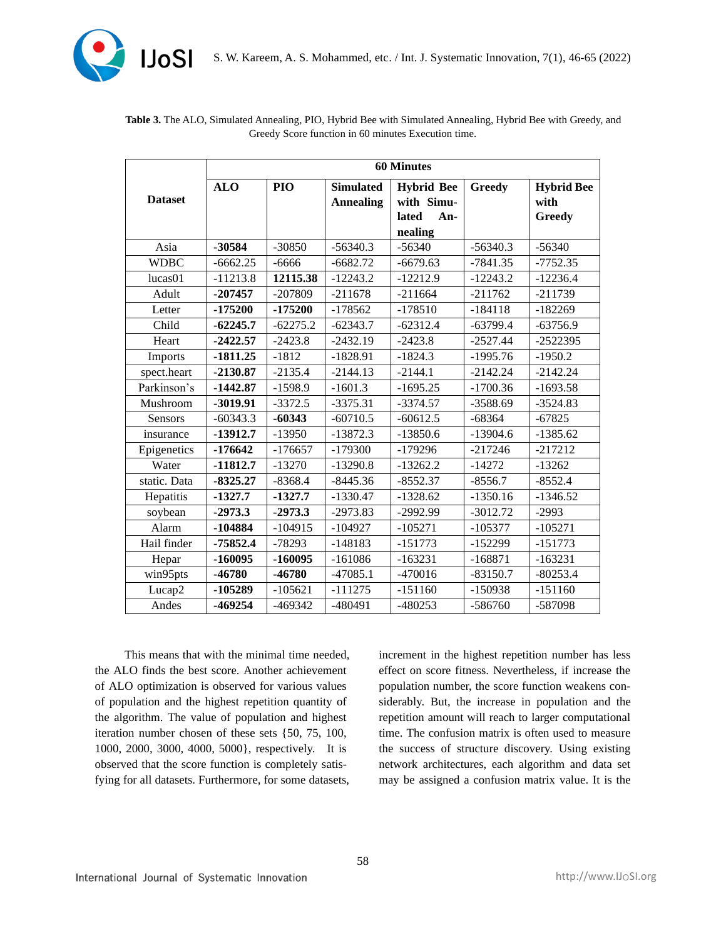

|                | <b>60 Minutes</b> |            |                  |                   |               |                   |  |  |
|----------------|-------------------|------------|------------------|-------------------|---------------|-------------------|--|--|
|                | <b>ALO</b>        | PIO        | <b>Simulated</b> | <b>Hybrid Bee</b> | <b>Greedy</b> | <b>Hybrid Bee</b> |  |  |
| <b>Dataset</b> |                   |            | <b>Annealing</b> | with Simu-        |               | with              |  |  |
|                |                   |            |                  | lated<br>An-      |               | <b>Greedy</b>     |  |  |
|                |                   |            |                  | nealing           |               |                   |  |  |
| Asia           | -30584            | $-30850$   | $-56340.3$       | $-56340$          | $-56340.3$    | $-56340$          |  |  |
| <b>WDBC</b>    | $-6662.25$        | $-6666$    | $-6682.72$       | $-6679.63$        | $-7841.35$    | $-7752.35$        |  |  |
| lucas01        | $-11213.8$        | 12115.38   | $-12243.2$       | $-12212.9$        | $-12243.2$    | $-12236.4$        |  |  |
| Adult          | $-207457$         | $-207809$  | $-211678$        | $-211664$         | $-211762$     | $-211739$         |  |  |
| Letter         | -175200           | $-175200$  | $-178562$        | $-178510$         | $-184118$     | $-182269$         |  |  |
| Child          | $-62245.7$        | $-62275.2$ | $-62343.7$       | $-62312.4$        | $-63799.4$    | $-63756.9$        |  |  |
| Heart          | $-2422.57$        | $-2423.8$  | $-2432.19$       | $-2423.8$         | $-2527.44$    | $-2522395$        |  |  |
| Imports        | $-1811.25$        | $-1812$    | $-1828.91$       | $-1824.3$         | $-1995.76$    | $-1950.2$         |  |  |
| spect.heart    | $-2130.87$        | $-2135.4$  | $-2144.13$       | $-2144.1$         | $-2142.24$    | $-2142.24$        |  |  |
| Parkinson's    | $-1442.87$        | $-1598.9$  | $-1601.3$        | $-1695.25$        | $-1700.36$    | $-1693.58$        |  |  |
| Mushroom       | $-3019.91$        | $-3372.5$  | $-3375.31$       | $-3374.57$        | $-3588.69$    | $-3524.83$        |  |  |
| <b>Sensors</b> | $-60343.3$        | $-60343$   | $-60710.5$       | $-60612.5$        | $-68364$      | $-67825$          |  |  |
| insurance      | $-13912.7$        | $-13950$   | $-13872.3$       | $-13850.6$        | $-13904.6$    | $-1385.62$        |  |  |
| Epigenetics    | $-176642$         | $-176657$  | $-179300$        | -179296           | $-217246$     | $-217212$         |  |  |
| Water          | $-11812.7$        | $-13270$   | $-13290.8$       | $-13262.2$        | $-14272$      | $-13262$          |  |  |
| static. Data   | $-8325.27$        | $-8368.4$  | $-8445.36$       | $-8552.37$        | $-8556.7$     | $-8552.4$         |  |  |
| Hepatitis      | $-1327.7$         | $-1327.7$  | $-1330.47$       | $-1328.62$        | $-1350.16$    | $-1346.52$        |  |  |
| soybean        | $-2973.3$         | $-2973.3$  | $-2973.83$       | $-2992.99$        | $-3012.72$    | $-2993$           |  |  |
| Alarm          | -104884           | $-104915$  | $-104927$        | $-105271$         | $-105377$     | $-105271$         |  |  |
| Hail finder    | $-75852.4$        | $-78293$   | $-148183$        | $-151773$         | $-152299$     | $-151773$         |  |  |
| Hepar          | $-160095$         | $-160095$  | $-161086$        | $-163231$         | $-168871$     | $-163231$         |  |  |
| win95pts       | -46780            | $-46780$   | $-47085.1$       | $-470016$         | $-83150.7$    | $-80253.4$        |  |  |
| Lucap2         | -105289           | $-105621$  | $-111275$        | $-151160$         | $-150938$     | $-151160$         |  |  |
| Andes          | $-469254$         | $-469342$  | $-480491$        | $-480253$         | $-586760$     | -587098           |  |  |

## **Table 3.** The ALO, Simulated Annealing, PIO, Hybrid Bee with Simulated Annealing, Hybrid Bee with Greedy, and Greedy Score function in 60 minutes Execution time.

This means that with the minimal time needed, the ALO finds the best score. Another achievement of ALO optimization is observed for various values of population and the highest repetition quantity of the algorithm. The value of population and highest iteration number chosen of these sets {50, 75, 100, 1000, 2000, 3000, 4000, 5000}, respectively. It is observed that the score function is completely satisfying for all datasets. Furthermore, for some datasets,

increment in the highest repetition number has less effect on score fitness. Nevertheless, if increase the population number, the score function weakens considerably. But, the increase in population and the repetition amount will reach to larger computational time. The confusion matrix is often used to measure the success of structure discovery. Using existing network architectures, each algorithm and data set may be assigned a confusion matrix value. It is the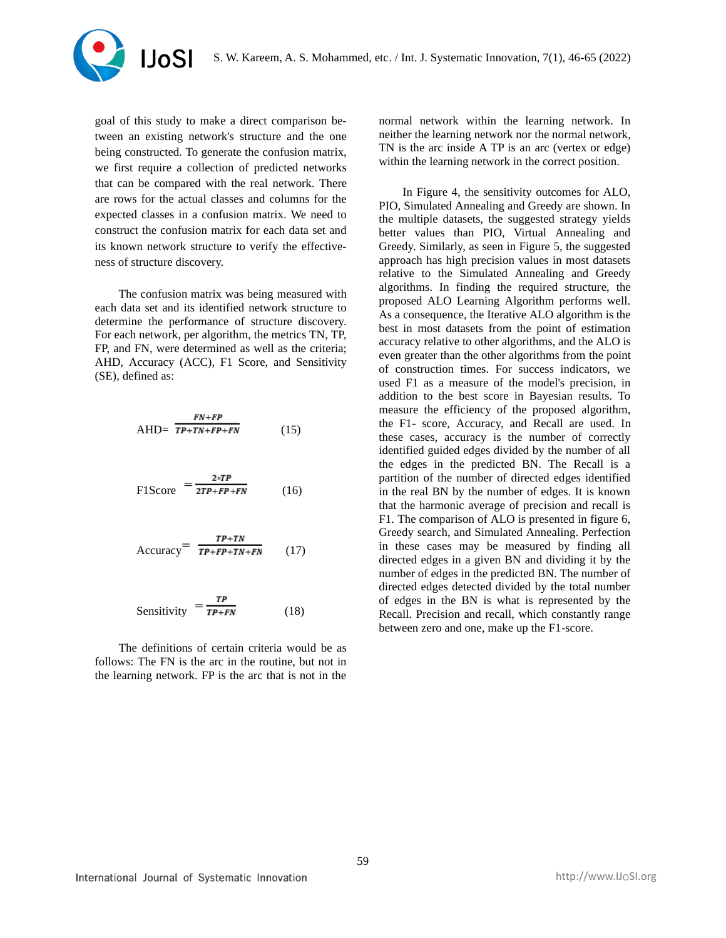

goal of this study to make a direct comparison between an existing network's structure and the one being constructed. To generate the confusion matrix, we first require a collection of predicted networks that can be compared with the real network. There are rows for the actual classes and columns for the expected classes in a confusion matrix. We need to construct the confusion matrix for each data set and its known network structure to verify the effectiveness of structure discovery.

The confusion matrix was being measured with each data set and its identified network structure to determine the performance of structure discovery. For each network, per algorithm, the metrics TN, TP, FP, and FN, were determined as well as the criteria; AHD, Accuracy (ACC), F1 Score, and Sensitivity (SE), defined as:

$$
AHD = \frac{FN + FP}{TP + TN + FP + FN} \tag{15}
$$

$$
F1Score = \frac{2*TP}{2TP+FP+FN}
$$
 (16)

$$
Accuracy = \frac{TP+TN}{TP+FP+TN+FN} \qquad (17)
$$

$$
Sensitivity = \frac{TP}{TP+FN}
$$
 (18)

The definitions of certain criteria would be as follows: The FN is the arc in the routine, but not in the learning network. FP is the arc that is not in the

normal network within the learning network. In neither the learning network nor the normal network, TN is the arc inside A TP is an arc (vertex or edge) within the learning network in the correct position.

In Figure 4, the sensitivity outcomes for ALO, PIO, Simulated Annealing and Greedy are shown. In the multiple datasets, the suggested strategy yields better values than PIO, Virtual Annealing and Greedy. Similarly, as seen in Figure 5, the suggested approach has high precision values in most datasets relative to the Simulated Annealing and Greedy algorithms. In finding the required structure, the proposed ALO Learning Algorithm performs well. As a consequence, the Iterative ALO algorithm is the best in most datasets from the point of estimation accuracy relative to other algorithms, and the ALO is even greater than the other algorithms from the point of construction times. For success indicators, we used F1 as a measure of the model's precision, in addition to the best score in Bayesian results. To measure the efficiency of the proposed algorithm, the F1- score, Accuracy, and Recall are used. In these cases, accuracy is the number of correctly identified guided edges divided by the number of all the edges in the predicted BN. The Recall is a partition of the number of directed edges identified in the real BN by the number of edges. It is known that the harmonic average of precision and recall is F1. The comparison of ALO is presented in figure 6, Greedy search, and Simulated Annealing. Perfection in these cases may be measured by finding all directed edges in a given BN and dividing it by the number of edges in the predicted BN. The number of directed edges detected divided by the total number of edges in the BN is what is represented by the Recall. Precision and recall, which constantly range between zero and one, make up the F1-score.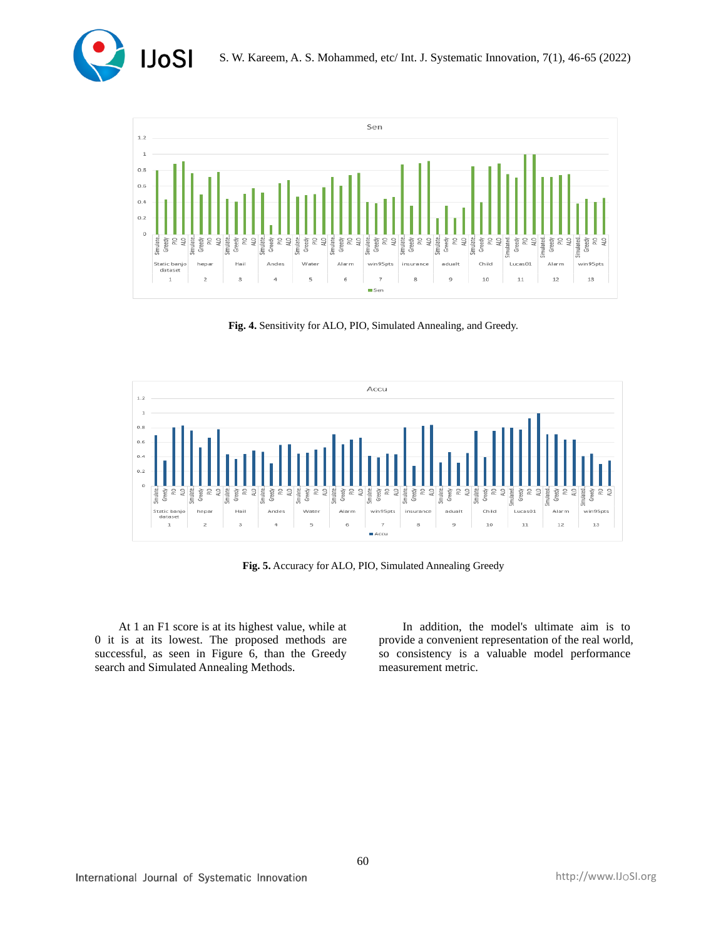



**Fig. 4.** Sensitivity for ALO, PIO, Simulated Annealing, and Greedy.



**Fig. 5.** Accuracy for ALO, PIO, Simulated Annealing Greedy

At 1 an F1 score is at its highest value, while at 0 it is at its lowest. The proposed methods are successful, as seen in Figure 6, than the Greedy search and Simulated Annealing Methods.

In addition, the model's ultimate aim is to provide a convenient representation of the real world, so consistency is a valuable model performance measurement metric.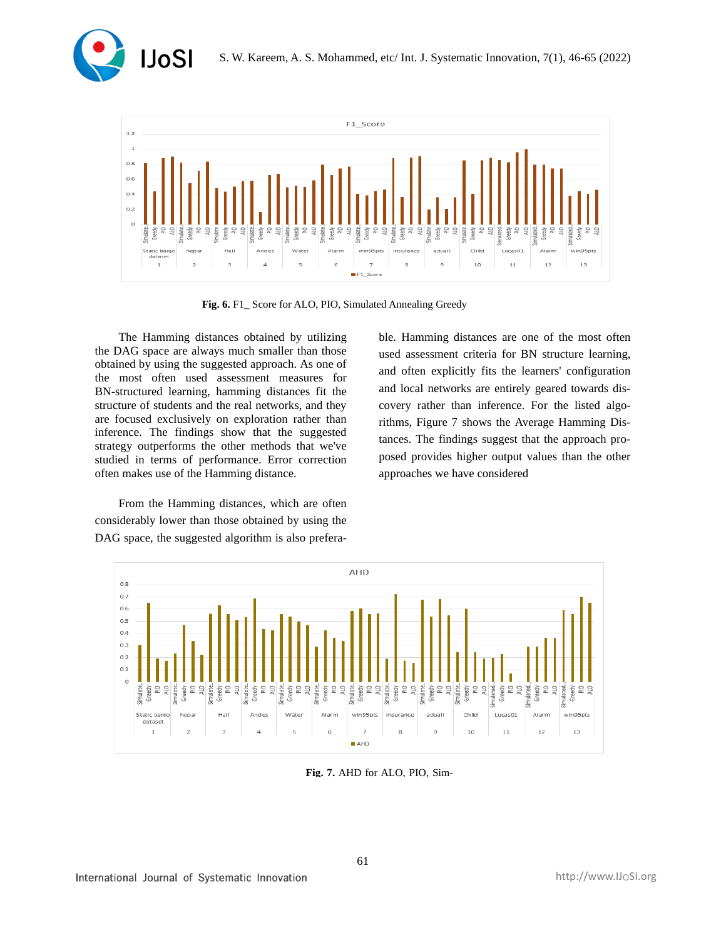



**Fig. 6.** F1\_ Score for ALO, PIO, Simulated Annealing Greedy

The Hamming distances obtained by utilizing the DAG space are always much smaller than those obtained by using the suggested approach. As one of the most often used assessment measures for BN-structured learning, hamming distances fit the structure of students and the real networks, and they are focused exclusively on exploration rather than inference. The findings show that the suggested strategy outperforms the other methods that we've studied in terms of performance. Error correction often makes use of the Hamming distance.

From the Hamming distances, which are often considerably lower than those obtained by using the DAG space, the suggested algorithm is also preferable. Hamming distances are one of the most often used assessment criteria for BN structure learning, and often explicitly fits the learners' configuration and local networks are entirely geared towards discovery rather than inference. For the listed algorithms, Figure 7 shows the Average Hamming Distances. The findings suggest that the approach proposed provides higher output values than the other approaches we have considered



**Fig. 7.** AHD for ALO, PIO, Sim-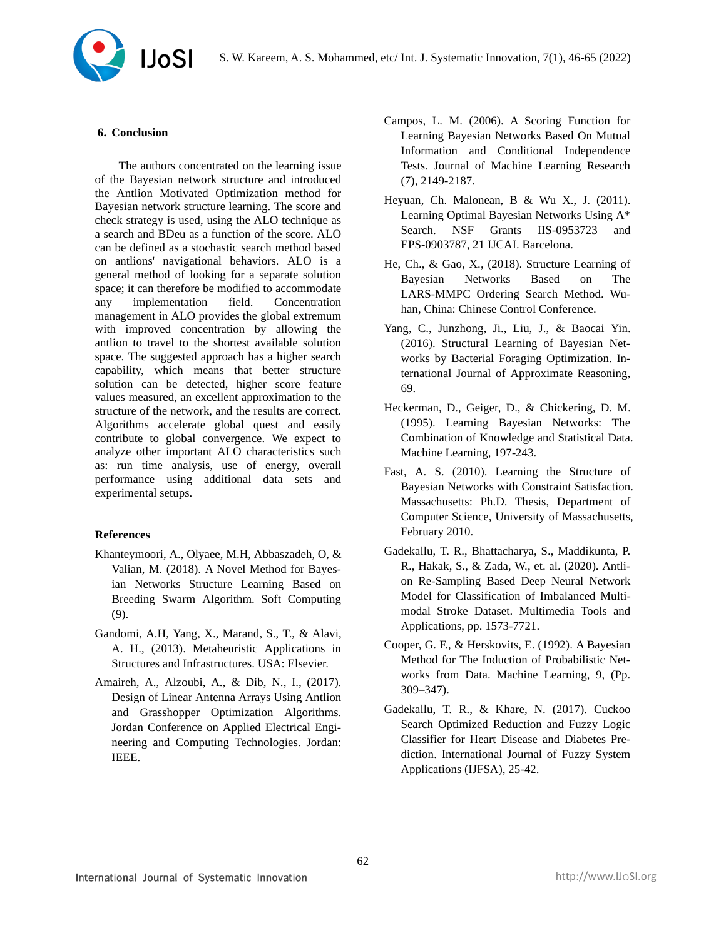S. W. Kareem, A. S. Mohammed, etc/ Int. J. Systematic Innovation, 7(1), 46-65 (2022)



### **6. Conclusion**

The authors concentrated on the learning issue of the Bayesian network structure and introduced the Antlion Motivated Optimization method for Bayesian network structure learning. The score and check strategy is used, using the ALO technique as a search and BDeu as a function of the score. ALO can be defined as a stochastic search method based on antlions' navigational behaviors. ALO is a general method of looking for a separate solution space; it can therefore be modified to accommodate any implementation field. Concentration management in ALO provides the global extremum with improved concentration by allowing the antlion to travel to the shortest available solution space. The suggested approach has a higher search capability, which means that better structure solution can be detected, higher score feature values measured, an excellent approximation to the structure of the network, and the results are correct. Algorithms accelerate global quest and easily contribute to global convergence. We expect to analyze other important ALO characteristics such as: run time analysis, use of energy, overall performance using additional data sets and experimental setups.

### **References**

- Khanteymoori, A., Olyaee, M.H, Abbaszadeh, O, & Valian, M. (2018). A Novel Method for Bayesian Networks Structure Learning Based on Breeding Swarm Algorithm. Soft Computing (9).
- Gandomi, A.H, Yang, X., Marand, S., T., & Alavi, A. H., (2013). Metaheuristic Applications in Structures and Infrastructures. USA: Elsevier.
- Amaireh, A., Alzoubi, A., & Dib, N., I., (2017). Design of Linear Antenna Arrays Using Antlion and Grasshopper Optimization Algorithms. Jordan Conference on Applied Electrical Engineering and Computing Technologies. Jordan: IEEE.
- Campos, L. M. (2006). A Scoring Function for Learning Bayesian Networks Based On Mutual Information and Conditional Independence Tests. Journal of Machine Learning Research (7), 2149-2187.
- Heyuan, Ch. Malonean, B & Wu X., J. (2011). Learning Optimal Bayesian Networks Using A\* Search. NSF Grants IIS-0953723 and EPS-0903787, 21 IJCAI. Barcelona.
- He, Ch., & Gao, X., (2018). Structure Learning of Bayesian Networks Based on The LARS-MMPC Ordering Search Method. Wuhan, China: Chinese Control Conference.
- Yang, C., Junzhong, Ji., Liu, J., & Baocai Yin. (2016). Structural Learning of Bayesian Networks by Bacterial Foraging Optimization. International Journal of Approximate Reasoning, 69.
- Heckerman, D., Geiger, D., & Chickering, D. M. (1995). Learning Bayesian Networks: The Combination of Knowledge and Statistical Data. Machine Learning, 197-243.
- Fast, A. S. (2010). Learning the Structure of Bayesian Networks with Constraint Satisfaction. Massachusetts: Ph.D. Thesis, Department of Computer Science, University of Massachusetts, February 2010.
- [Gadekallu,](https://www.researchgate.net/profile/Thippa-Gadekallu?_sg%5B0%5D=29_ywaUMR6AluqLvdFOG7ApOC4C5McVx5LBVlp9yuGFEXkbWPjU45DH5SjmhKoKw0nlq0hA.jNIx04JVA5MPeiS0wWmlcc0YqQ0GbFqgFZHB_BfkyV1tfX6TdjdlPkReF9IxBM1S08OFHxxvZy1EL1uK9SHiDg&_sg%5B1%5D=XqXdMkDnnczyPOZ-LNoQ-PUncWeDXY3kVyQFDBm9l43j46lKEpnTjz9FkNfQuQvtNTc-34c.1GWSlRdY5vkwE1E9EoEc52YxQRaGOg6c3eYmRn1Fwez5Geq2WIhqnpYcazZPJfgKplnZPsZ7K6APiKGEeDdb8Q) T. R., Bhattacharya, S., Maddikunta, P. R., Hakak, S., & Zada, W., et. al. (2020). Antlion Re-Sampling Based Deep Neural Network Model for Classification of Imbalanced Multimodal Stroke Dataset. Multimedia Tools and Applications, pp. 1573-7721.
- Cooper, G. F., & Herskovits, E. (1992). A Bayesian Method for The Induction of Probabilistic Networks from Data. Machine Learning, 9, (Pp. 309–347).
- Gadekallu, T. R., & Khare, N. (2017). Cuckoo Search Optimized Reduction and Fuzzy Logic Classifier for Heart Disease and Diabetes Prediction. International Journal of Fuzzy System Applications (IJFSA), 25-42.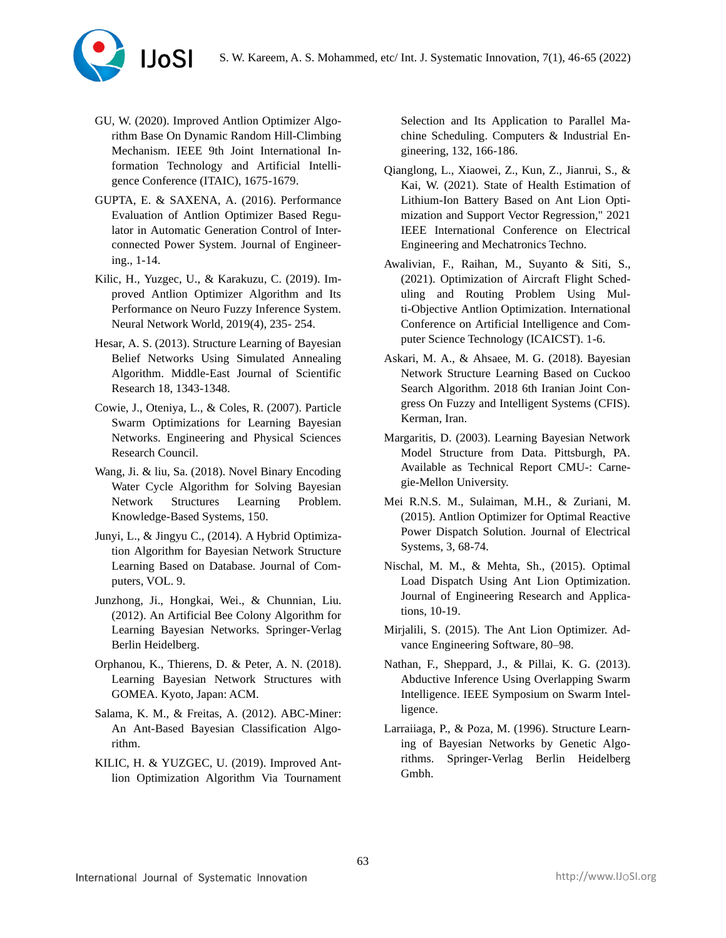

- GU, W. (2020). Improved Antlion Optimizer Algorithm Base On Dynamic Random Hill-Climbing Mechanism. IEEE 9th Joint International Information Technology and Artificial Intelligence Conference (ITAIC), 1675-1679.
- GUPTA, E. & SAXENA, A. (2016). Performance Evaluation of Antlion Optimizer Based Regulator in Automatic Generation Control of Interconnected Power System. Journal of Engineering., 1-14.
- Kilic, H., Yuzgec, U., & Karakuzu, C. (2019). Improved Antlion Optimizer Algorithm and Its Performance on Neuro Fuzzy Inference System. Neural Network World, 2019(4), 235- 254.
- Hesar, A. S. (2013). Structure Learning of Bayesian Belief Networks Using Simulated Annealing Algorithm. Middle-East Journal of Scientific Research 18, 1343-1348.
- Cowie, J., Oteniya, L., & Coles, R. (2007). Particle Swarm Optimizations for Learning Bayesian Networks. Engineering and Physical Sciences Research Council.
- Wang, Ji. & liu, Sa. (2018). Novel Binary Encoding Water Cycle Algorithm for Solving Bayesian Network Structures Learning Problem. Knowledge-Based Systems, 150.
- Junyi, L., & Jingyu C., (2014). A Hybrid Optimization Algorithm for Bayesian Network Structure Learning Based on Database. Journal of Computers, VOL. 9.
- Junzhong, Ji., Hongkai, Wei., & Chunnian, Liu. (2012). An Artificial Bee Colony Algorithm for Learning Bayesian Networks. Springer-Verlag Berlin Heidelberg.
- Orphanou, K., Thierens, D. & Peter, A. N. (2018). Learning Bayesian Network Structures with GOMEA. Kyoto, Japan: ACM.
- Salama, K. M., & Freitas, A. (2012). ABC-Miner: An Ant-Based Bayesian Classification Algorithm.
- KILIC, H. & YUZGEC, U. (2019). Improved Antlion Optimization Algorithm Via Tournament

Selection and Its Application to Parallel Machine Scheduling. Computers & Industrial Engineering, 132, 166-186.

- Qianglong, L., Xiaowei, Z., Kun, Z., Jianrui, S., & Kai, W. (2021). State of Health Estimation of Lithium-Ion Battery Based on Ant Lion Optimization and Support Vector Regression," 2021 IEEE International Conference on Electrical Engineering and Mechatronics Techno.
- Awalivian, F., Raihan, M., Suyanto & Siti, S., (2021). Optimization of Aircraft Flight Scheduling and Routing Problem Using Multi-Objective Antlion Optimization. International Conference on Artificial Intelligence and Computer Science Technology (ICAICST). 1-6.
- Askari, M. A., & Ahsaee, M. G. (2018). Bayesian Network Structure Learning Based on Cuckoo Search Algorithm. 2018 6th Iranian Joint Congress On Fuzzy and Intelligent Systems (CFIS). Kerman, Iran.
- Margaritis, D. (2003). Learning Bayesian Network Model Structure from Data. Pittsburgh, PA. Available as Technical Report CMU-: Carnegie-Mellon University.
- Mei R.N.S. M., Sulaiman, M.H., & Zuriani, M. (2015). Antlion Optimizer for Optimal Reactive Power Dispatch Solution. Journal of Electrical Systems, 3, 68-74.
- Nischal, M. M., & Mehta, Sh., (2015). Optimal Load Dispatch Using Ant Lion Optimization. Journal of Engineering Research and Applications, 10-19.
- Mirjalili, S. (2015). The Ant Lion Optimizer. Advance Engineering Software, 80–98.
- Nathan, F., Sheppard, J., & Pillai, K. G. (2013). Abductive Inference Using Overlapping Swarm Intelligence. IEEE Symposium on Swarm Intelligence.
- Larraiiaga, P., & Poza, M. (1996). Structure Learning of Bayesian Networks by Genetic Algorithms. Springer-Verlag Berlin Heidelberg Gmbh.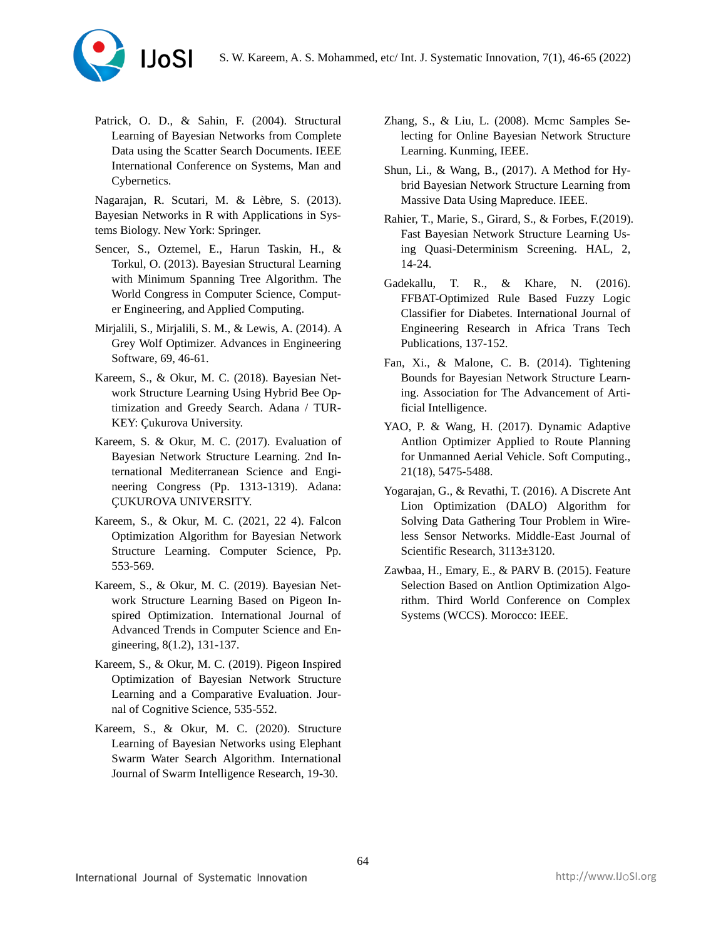

Patrick, O. D., & Sahin, F. (2004). Structural Learning of Bayesian Networks from Complete Data using the Scatter Search Documents. IEEE International Conference on Systems, Man and Cybernetics.

Nagarajan, R. Scutari, M. & Lèbre, S. (2013). Bayesian Networks in R with Applications in Systems Biology. New York: Springer.

- Sencer, S., Oztemel, E., Harun Taskin, H., & Torkul, O. (2013). Bayesian Structural Learning with Minimum Spanning Tree Algorithm. The World Congress in Computer Science, Computer Engineering, and Applied Computing.
- Mirjalili, S., Mirjalili, S. M., & Lewis, A. (2014). A Grey Wolf Optimizer. Advances in Engineering Software, 69, 46-61.
- Kareem, S., & Okur, M. C. (2018). Bayesian Network Structure Learning Using Hybrid Bee Optimization and Greedy Search. Adana / TUR-KEY: Çukurova University.
- Kareem, S. & Okur, M. C. (2017). Evaluation of Bayesian Network Structure Learning. 2nd International Mediterranean Science and Engineering Congress (Pp. 1313-1319). Adana: ÇUKUROVA UNIVERSITY.
- Kareem, S., & Okur, M. C. (2021, 22 4). Falcon Optimization Algorithm for Bayesian Network Structure Learning. Computer Science, Pp. 553-569.
- Kareem, S., & Okur, M. C. (2019). Bayesian Network Structure Learning Based on Pigeon Inspired Optimization. International Journal of Advanced Trends in Computer Science and Engineering, 8(1.2), 131-137.
- Kareem, S., & Okur, M. C. (2019). Pigeon Inspired Optimization of Bayesian Network Structure Learning and a Comparative Evaluation. Journal of Cognitive Science, 535-552.
- Kareem, S., & Okur, M. C. (2020). Structure Learning of Bayesian Networks using Elephant Swarm Water Search Algorithm. International Journal of Swarm Intelligence Research, 19-30.
- Zhang, S., & Liu, L. (2008). Mcmc Samples Selecting for Online Bayesian Network Structure Learning. Kunming, IEEE.
- Shun, Li., & Wang, B., (2017). A Method for Hybrid Bayesian Network Structure Learning from Massive Data Using Mapreduce. IEEE.
- Rahier, T., Marie, S., Girard, S., & Forbes, F.(2019). Fast Bayesian Network Structure Learning Using Quasi-Determinism Screening. HAL, 2, 14-24.
- Gadekallu, T. R., & Khare, N. (2016). FFBAT-Optimized Rule Based Fuzzy Logic Classifier for Diabetes. International Journal of Engineering Research in Africa Trans Tech Publications, 137-152.
- Fan, Xi., & Malone, C. B. (2014). Tightening Bounds for Bayesian Network Structure Learning. Association for The Advancement of Artificial Intelligence.
- YAO, P. & Wang, H. (2017). Dynamic Adaptive Antlion Optimizer Applied to Route Planning for Unmanned Aerial Vehicle. Soft Computing., 21(18), 5475-5488.
- Yogarajan, G., & Revathi, T. (2016). A Discrete Ant Lion Optimization (DALO) Algorithm for Solving Data Gathering Tour Problem in Wireless Sensor Networks. Middle-East Journal of Scientific Research, 3113±3120.
- Zawbaa, H., Emary, E., & PARV B. (2015). Feature Selection Based on Antlion Optimization Algorithm. Third World Conference on Complex Systems (WCCS). Morocco: IEEE.